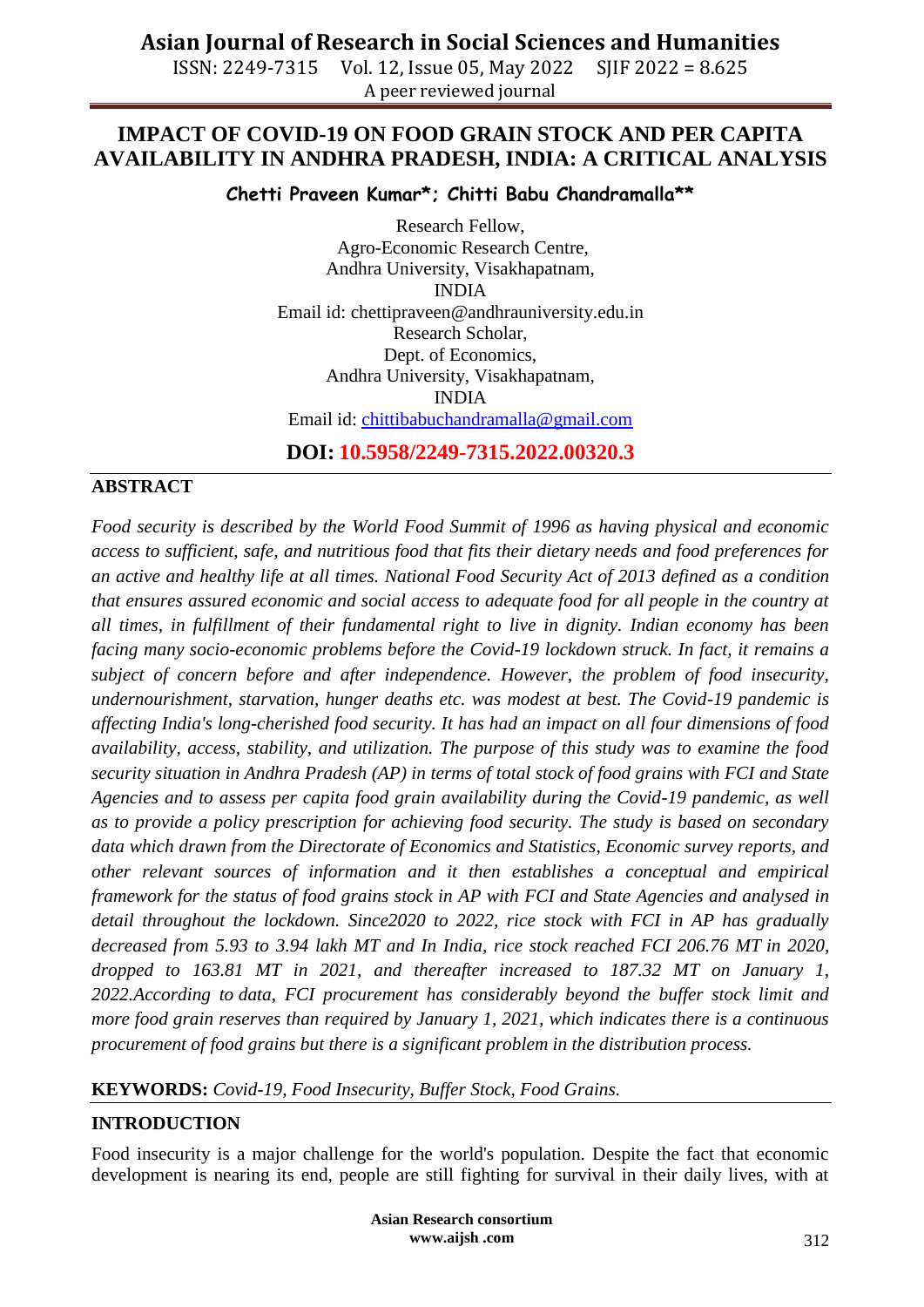ISSN: 2249-7315 Vol. 12, Issue 05, May 2022 SJIF 2022 = 8.625 A peer reviewed journal

# **IMPACT OF COVID-19 ON FOOD GRAIN STOCK AND PER CAPITA AVAILABILITY IN ANDHRA PRADESH, INDIA: A CRITICAL ANALYSIS**

**Chetti Praveen Kumar\*; Chitti Babu Chandramalla\*\***

Research Fellow, Agro-Economic Research Centre, Andhra University, Visakhapatnam, INDIA Email id: [chettipraveen@andhrauniversity.edu.in](mailto:chettipraveen@andhrauniversity.edu.in) Research Scholar, Dept. of Economics, Andhra University, Visakhapatnam, INDIA Email id: [chittibabuchandramalla@gmail.com](mailto:chittibabuchandramalla@gmail.com)

**DOI: 10.5958/2249-7315.2022.00320.3**

## **ABSTRACT**

*Food security is described by the World Food Summit of 1996 as having physical and economic access to sufficient, safe, and nutritious food that fits their dietary needs and food preferences for an active and healthy life at all times. National Food Security Act of 2013 defined as a condition that ensures assured economic and social access to adequate food for all people in the country at all times, in fulfillment of their fundamental right to live in dignity. Indian economy has been facing many socio-economic problems before the Covid-19 lockdown struck. In fact, it remains a subject of concern before and after independence. However, the problem of food insecurity, undernourishment, starvation, hunger deaths etc. was modest at best. The Covid-19 pandemic is affecting India's long-cherished food security. It has had an impact on all four dimensions of food availability, access, stability, and utilization. The purpose of this study was to examine the food security situation in Andhra Pradesh (AP) in terms of total stock of food grains with FCI and State Agencies and to assess per capita food grain availability during the Covid-19 pandemic, as well as to provide a policy prescription for achieving food security. The study is based on secondary data which drawn from the Directorate of Economics and Statistics, Economic survey reports, and other relevant sources of information and it then establishes a conceptual and empirical framework for the status of food grains stock in AP with FCI and State Agencies and analysed in detail throughout the lockdown. Since2020 to 2022, rice stock with FCI in AP has gradually decreased from 5.93 to 3.94 lakh MT and In India, rice stock reached FCI 206.76 MT in 2020, dropped to 163.81 MT in 2021, and thereafter increased to 187.32 MT on January 1, 2022.According to data, FCI procurement has considerably beyond the buffer stock limit and more food grain reserves than required by January 1, 2021, which indicates there is a continuous procurement of food grains but there is a significant problem in the distribution process.* 

## **KEYWORDS:** *Covid-19, Food Insecurity, Buffer Stock, Food Grains.*

## **INTRODUCTION**

Food insecurity is a major challenge for the world's population. Despite the fact that economic development is nearing its end, people are still fighting for survival in their daily lives, with at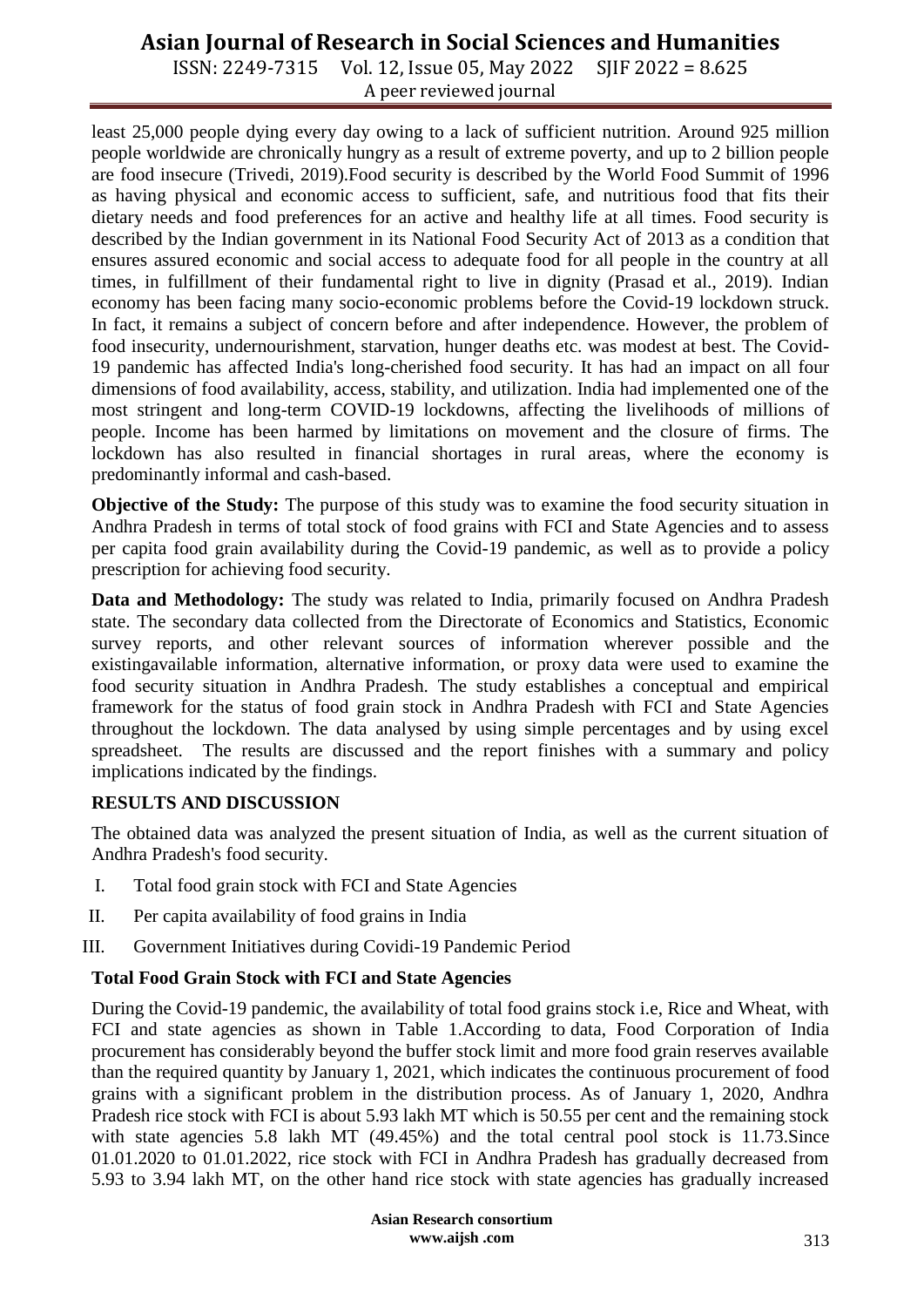ISSN: 2249-7315 Vol. 12, Issue 05, May 2022 SJIF 2022 = 8.625 A peer reviewed journal

least 25,000 people dying every day owing to a lack of sufficient nutrition. Around 925 million people worldwide are chronically hungry as a result of extreme poverty, and up to 2 billion people are food insecure (Trivedi, 2019).Food security is described by the World Food Summit of 1996 as having physical and economic access to sufficient, safe, and nutritious food that fits their dietary needs and food preferences for an active and healthy life at all times. Food security is described by the Indian government in its National Food Security Act of 2013 as a condition that ensures assured economic and social access to adequate food for all people in the country at all times, in fulfillment of their fundamental right to live in dignity (Prasad et al., 2019). Indian economy has been facing many socio-economic problems before the Covid-19 lockdown struck. In fact, it remains a subject of concern before and after independence. However, the problem of food insecurity, undernourishment, starvation, hunger deaths etc. was modest at best. The Covid-19 pandemic has affected India's long-cherished food security. It has had an impact on all four dimensions of food availability, access, stability, and utilization. India had implemented one of the most stringent and long-term COVID-19 lockdowns, affecting the livelihoods of millions of people. Income has been harmed by limitations on movement and the closure of firms. The lockdown has also resulted in financial shortages in rural areas, where the economy is predominantly informal and cash-based.

**Objective of the Study:** The purpose of this study was to examine the food security situation in Andhra Pradesh in terms of total stock of food grains with FCI and State Agencies and to assess per capita food grain availability during the Covid-19 pandemic, as well as to provide a policy prescription for achieving food security.

**Data and Methodology:** The study was related to India, primarily focused on Andhra Pradesh state. The secondary data collected from the Directorate of Economics and Statistics, Economic survey reports, and other relevant sources of information wherever possible and the existingavailable information, alternative information, or proxy data were used to examine the food security situation in Andhra Pradesh. The study establishes a conceptual and empirical framework for the status of food grain stock in Andhra Pradesh with FCI and State Agencies throughout the lockdown. The data analysed by using simple percentages and by using excel spreadsheet. The results are discussed and the report finishes with a summary and policy implications indicated by the findings.

#### **RESULTS AND DISCUSSION**

The obtained data was analyzed the present situation of India, as well as the current situation of Andhra Pradesh's food security.

- I. Total food grain stock with FCI and State Agencies
- II. Per capita availability of food grains in India
- III. Government Initiatives during Covidi-19 Pandemic Period

## **Total Food Grain Stock with FCI and State Agencies**

During the Covid-19 pandemic, the availability of total food grains stock i.e, Rice and Wheat, with FCI and state agencies as shown in Table 1.According to data, Food Corporation of India procurement has considerably beyond the buffer stock limit and more food grain reserves available than the required quantity by January 1, 2021, which indicates the continuous procurement of food grains with a significant problem in the distribution process. As of January 1, 2020, Andhra Pradesh rice stock with FCI is about 5.93 lakh MT which is 50.55 per cent and the remaining stock with state agencies 5.8 lakh MT (49.45%) and the total central pool stock is 11.73. Since 01.01.2020 to 01.01.2022, rice stock with FCI in Andhra Pradesh has gradually decreased from 5.93 to 3.94 lakh MT, on the other hand rice stock with state agencies has gradually increased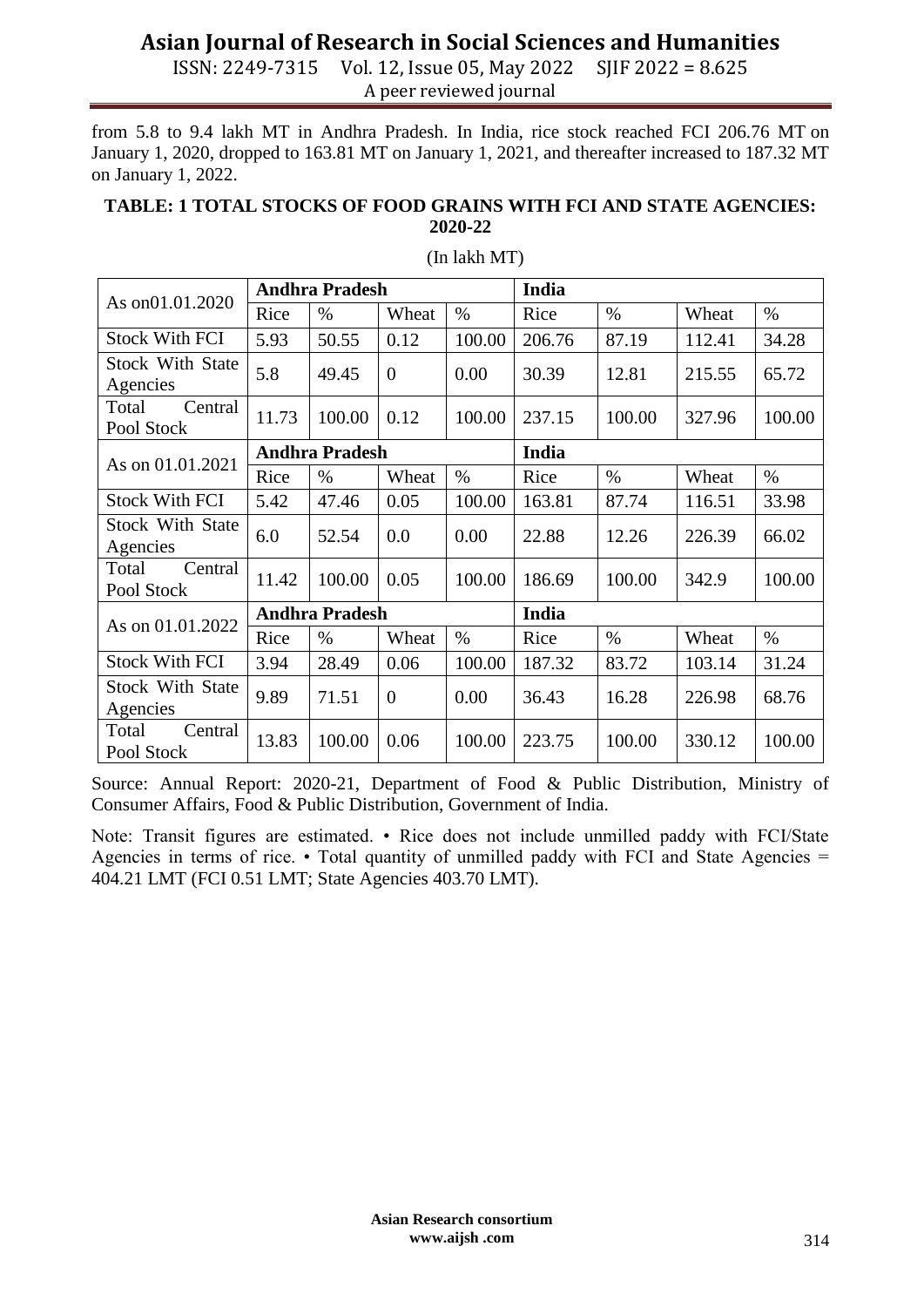ISSN: 2249-7315 Vol. 12, Issue 05, May 2022 SJIF 2022 = 8.625 A peer reviewed journal

from 5.8 to 9.4 lakh MT in Andhra Pradesh. In India, rice stock reached FCI 206.76 MT on January 1, 2020, dropped to 163.81 MT on January 1, 2021, and thereafter increased to 187.32 MT on January 1, 2022.

#### **TABLE: 1 TOTAL STOCKS OF FOOD GRAINS WITH FCI AND STATE AGENCIES: 2020-22**

| As on01.01.2020         | <b>Andhra Pradesh</b> |        |                |        | India  |        |        |        |
|-------------------------|-----------------------|--------|----------------|--------|--------|--------|--------|--------|
|                         | Rice                  | $\%$   | Wheat          | $\%$   | Rice   | $\%$   | Wheat  | $\%$   |
| <b>Stock With FCI</b>   | 5.93                  | 50.55  | 0.12           | 100.00 | 206.76 | 87.19  | 112.41 | 34.28  |
| <b>Stock With State</b> | 5.8                   | 49.45  | $\overline{0}$ | 0.00   | 30.39  | 12.81  | 215.55 | 65.72  |
| Agencies                |                       |        |                |        |        |        |        |        |
| Total<br>Central        | 11.73                 | 100.00 | 0.12           | 100.00 | 237.15 | 100.00 | 327.96 | 100.00 |
| Pool Stock              |                       |        |                |        |        |        |        |        |
| As on 01.01.2021        | <b>Andhra Pradesh</b> |        |                |        | India  |        |        |        |
|                         | Rice                  | $\%$   | Wheat          | $\%$   | Rice   | $\%$   | Wheat  | $\%$   |
| <b>Stock With FCI</b>   | 5.42                  | 47.46  | 0.05           | 100.00 | 163.81 | 87.74  | 116.51 | 33.98  |
| <b>Stock With State</b> | 6.0                   | 52.54  | 0.0            | 0.00   | 22.88  | 12.26  | 226.39 | 66.02  |
| Agencies                |                       |        |                |        |        |        |        |        |
| Central<br>Total        | 11.42                 | 100.00 | 0.05           | 100.00 | 186.69 | 100.00 | 342.9  | 100.00 |
| Pool Stock              |                       |        |                |        |        |        |        |        |
| As on 01.01.2022        | <b>Andhra Pradesh</b> |        |                |        | India  |        |        |        |
|                         | Rice                  | $\%$   | Wheat          | $\%$   | Rice   | $\%$   | Wheat  | $\%$   |
| <b>Stock With FCI</b>   | 3.94                  | 28.49  | 0.06           | 100.00 | 187.32 | 83.72  | 103.14 | 31.24  |
| <b>Stock With State</b> | 9.89                  | 71.51  | $\overline{0}$ | 0.00   | 36.43  | 16.28  | 226.98 | 68.76  |
| Agencies                |                       |        |                |        |        |        |        |        |
| Central<br>Total        | 13.83                 | 100.00 | 0.06           | 100.00 | 223.75 | 100.00 | 330.12 | 100.00 |
| Pool Stock              |                       |        |                |        |        |        |        |        |

#### (In lakh MT)

Source: Annual Report: 2020-21, Department of Food & Public Distribution, Ministry of Consumer Affairs, Food & Public Distribution, Government of India.

Note: Transit figures are estimated. • Rice does not include unmilled paddy with FCI/State Agencies in terms of rice.  $\cdot$  Total quantity of unmilled paddy with FCI and State Agencies = 404.21 LMT (FCI 0.51 LMT; State Agencies 403.70 LMT).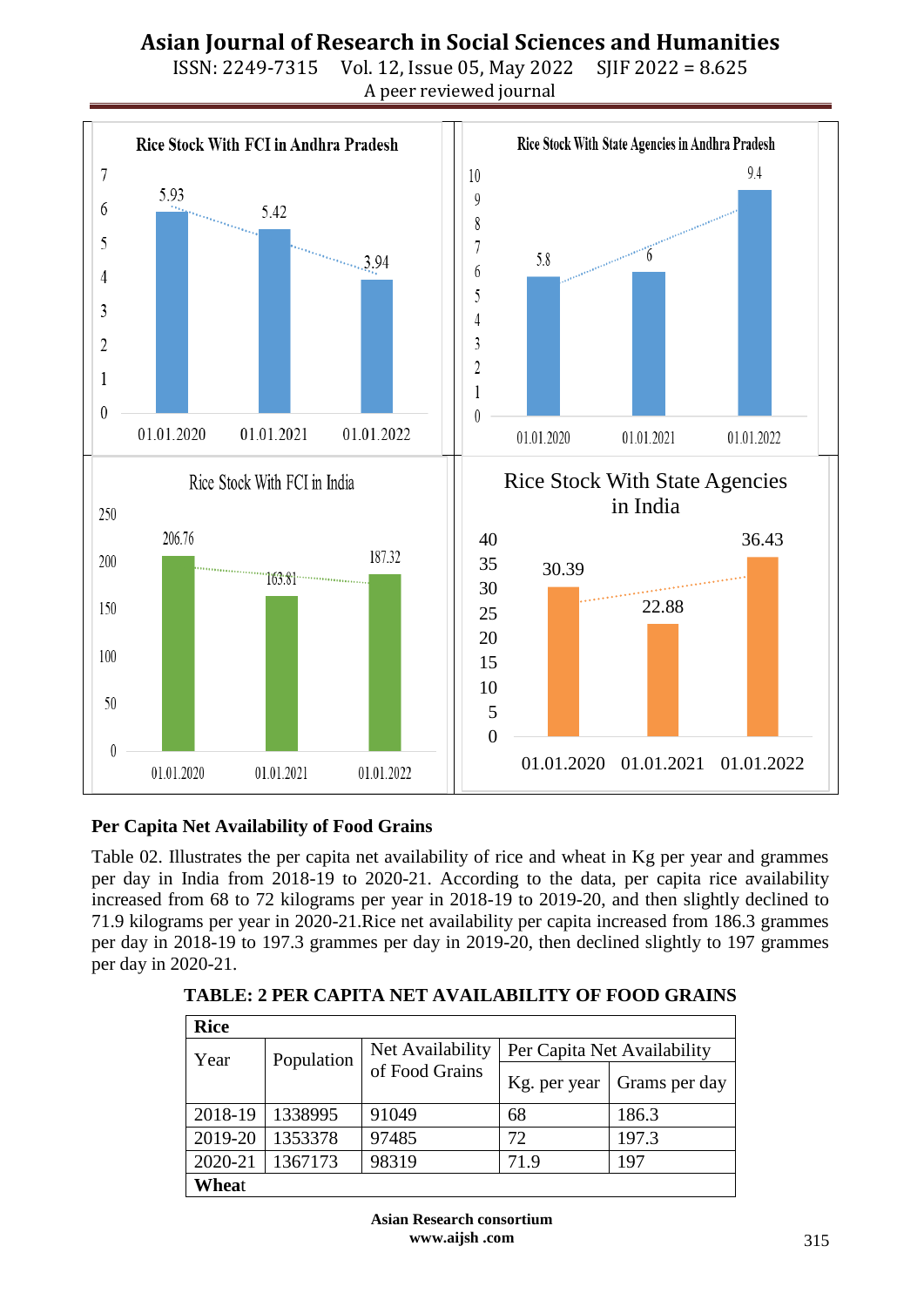

ISSN: 2249-7315 Vol. 12, Issue 05, May 2022 SJIF 2022 = 8.625 A peer reviewed journal

## **Per Capita Net Availability of Food Grains**

Table 02. Illustrates the per capita net availability of rice and wheat in Kg per year and grammes per day in India from 2018-19 to 2020-21. According to the data, per capita rice availability increased from 68 to 72 kilograms per year in 2018-19 to 2019-20, and then slightly declined to 71.9 kilograms per year in 2020-21.Rice net availability per capita increased from 186.3 grammes per day in 2018-19 to 197.3 grammes per day in 2019-20, then declined slightly to 197 grammes per day in 2020-21.

| <b>Rice</b> |            |                  |                             |               |  |  |
|-------------|------------|------------------|-----------------------------|---------------|--|--|
| Year        | Population | Net Availability | Per Capita Net Availability |               |  |  |
|             |            | of Food Grains   | Kg. per year                | Grams per day |  |  |
| 2018-19     | 1338995    | 91049            | 68                          | 186.3         |  |  |
| 2019-20     | 1353378    | 97485            | 72                          | 197.3         |  |  |
| 2020-21     | 1367173    | 98319            | 71.9                        | 197           |  |  |
| Wheat       |            |                  |                             |               |  |  |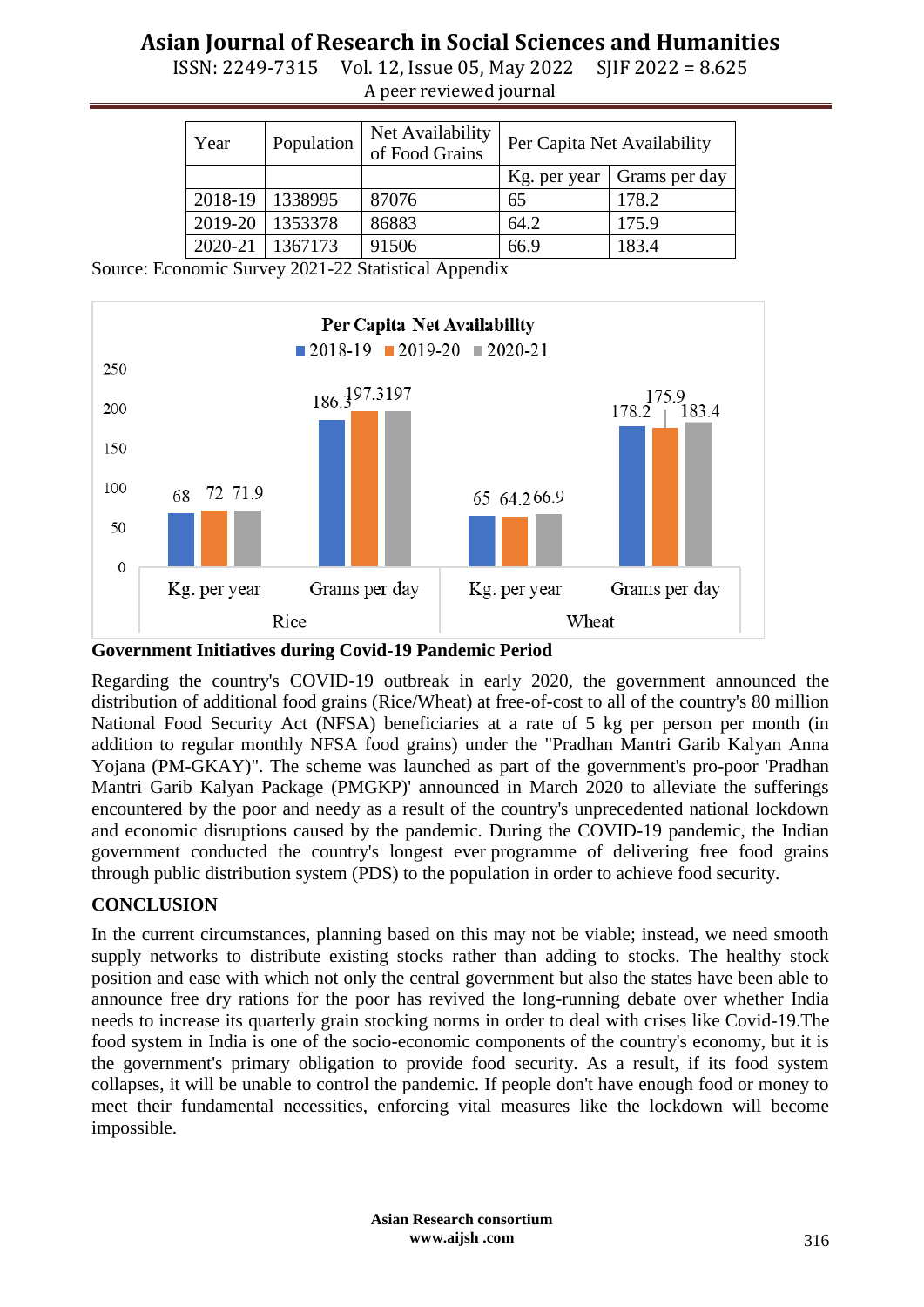ISSN: 2249-7315 Vol. 12, Issue 05, May 2022 SJIF 2022 = 8.625 A peer reviewed journal

| Year    | Population | Net Availability<br>of Food Grains | Per Capita Net Availability |               |
|---------|------------|------------------------------------|-----------------------------|---------------|
|         |            |                                    | Kg. per year                | Grams per day |
| 2018-19 | 1338995    | 87076                              | 65                          | 178.2         |
| 2019-20 | 1353378    | 86883                              | 64.2                        | 175.9         |
| 2020-21 | 1367173    | 91506                              | 66.9                        | 183.4         |

Source: Economic Survey 2021-22 Statistical Appendix



**Government Initiatives during Covid-19 Pandemic Period**

Regarding the country's COVID-19 outbreak in early 2020, the government announced the distribution of additional food grains (Rice/Wheat) at free-of-cost to all of the country's 80 million National Food Security Act (NFSA) beneficiaries at a rate of 5 kg per person per month (in addition to regular monthly NFSA food grains) under the "Pradhan Mantri Garib Kalyan Anna Yojana (PM-GKAY)". The scheme was launched as part of the government's pro-poor 'Pradhan Mantri Garib Kalyan Package (PMGKP)' announced in March 2020 to alleviate the sufferings encountered by the poor and needy as a result of the country's unprecedented national lockdown and economic disruptions caused by the pandemic. During the COVID-19 pandemic, the Indian government conducted the country's longest ever programme of delivering free food grains through public distribution system (PDS) to the population in order to achieve food security.

#### **CONCLUSION**

In the current circumstances, planning based on this may not be viable; instead, we need smooth supply networks to distribute existing stocks rather than adding to stocks. The healthy stock position and ease with which not only the central government but also the states have been able to announce free dry rations for the poor has revived the long-running debate over whether India needs to increase its quarterly grain stocking norms in order to deal with crises like Covid-19.The food system in India is one of the socio-economic components of the country's economy, but it is the government's primary obligation to provide food security. As a result, if its food system collapses, it will be unable to control the pandemic. If people don't have enough food or money to meet their fundamental necessities, enforcing vital measures like the lockdown will become impossible.